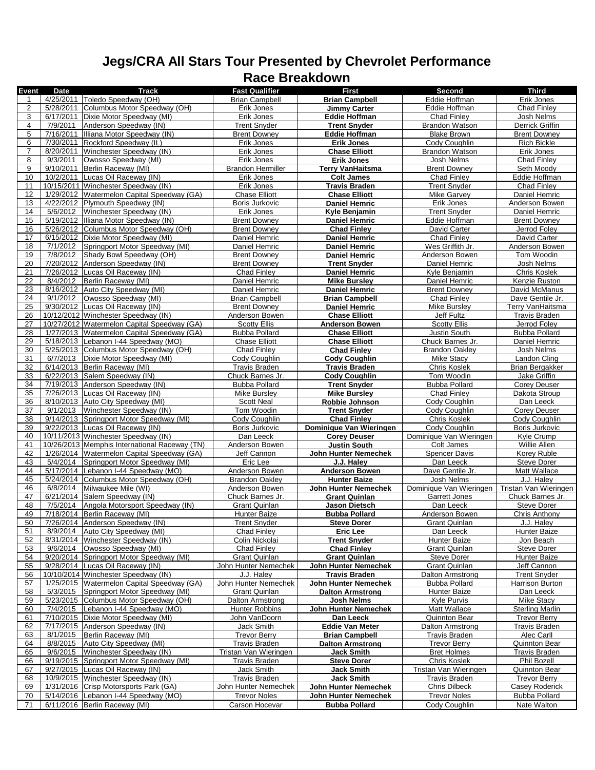## **Jegs/CRA All Stars Tour Presented by Chevrolet Performance Race Breakdown**

| Event          | Date      | Track                                         | <b>Fast Qualifier</b>    | <b>First</b>            | Second                  | <b>Third</b>           |
|----------------|-----------|-----------------------------------------------|--------------------------|-------------------------|-------------------------|------------------------|
|                |           | 4/25/2011   Toledo Speedway (OH)              | <b>Brian Campbell</b>    | <b>Brian Campbell</b>   | Eddie Hoffman           | Erik Jones             |
|                |           |                                               |                          |                         |                         |                        |
| $\overline{c}$ | 5/28/2011 | Columbus Motor Speedway (OH)                  | Erik Jones               | Jimmy Carter            | Eddie Hoffman           | <b>Chad Finlev</b>     |
| 3              |           | 6/17/2011   Dixie Motor Speedway (MI)         | Erik Jones               | Eddie Hoffman           | Chad Finley             | Josh Nelms             |
|                |           |                                               |                          |                         |                         |                        |
| 4              | 7/9/2011  | Anderson Speedway (IN)                        | <b>Trent Snyder</b>      | <b>Trent Snyder</b>     | <b>Brandon Watson</b>   | Derrick Griffin        |
| 5              |           | 7/16/2011   Illiana Motor Speedway (IN)       | <b>Brent Downey</b>      | Eddie Hoffman           | <b>Blake Brown</b>      | <b>Brent Downey</b>    |
| 6              |           | 7/30/2011 Rockford Speedway (IL)              | Erik Jones               | <b>Erik Jones</b>       | Cody Coughlin           | <b>Rich Bickle</b>     |
|                |           |                                               |                          |                         |                         |                        |
| $\overline{7}$ |           | 8/20/2011 Winchester Speedway (IN)            | Erik Jones               | <b>Chase Elliott</b>    | <b>Brandon Watson</b>   | Erik Jones             |
| $\bf{8}$       | 9/3/2011  | Owosso Speedway (MI)                          | Erik Jones               | <b>Erik Jones</b>       | Josh Nelms              | Chad Finley            |
|                |           |                                               |                          |                         |                         |                        |
| 9              | 9/10/2011 | Berlin Raceway (MI)                           | <b>Brandon Hermiller</b> | <b>Terry VanHaitsma</b> | <b>Brent Downey</b>     | Seth Moody             |
| 10             | 10/2/2011 | Lucas Oil Raceway (IN)                        | Erik Jones               | <b>Colt James</b>       | <b>Chad Finley</b>      | Eddie Hoffman          |
|                |           |                                               |                          |                         |                         | <b>Chad Finlev</b>     |
| 11             |           | 10/15/2011 Winchester Speedway (IN)           | Erik Jones               | <b>Travis Braden</b>    | <b>Trent Snyder</b>     |                        |
| 12             | 1/29/2012 | Watermelon Capital Speedway (GA)              | <b>Chase Elliott</b>     | <b>Chase Elliott</b>    | Mike Garvey             | Daniel Hemric          |
| 13             |           | 4/22/2012 Plymouth Speedway (IN)              | Boris Jurkovic           | <b>Daniel Hemric</b>    | Erik Jones              | Anderson Bowen         |
|                |           |                                               |                          |                         |                         |                        |
| 14             | 5/6/2012  | Winchester Speedway (IN)                      | Erik Jones               | Kyle Benjamin           | <b>Trent Snyder</b>     | Daniel Hemric          |
| 15             |           | 5/19/2012 Illiana Motor Speedway (IN)         | <b>Brent Downey</b>      | <b>Daniel Hemric</b>    | Eddie Hoffman           | <b>Brent Downey</b>    |
|                |           |                                               |                          |                         |                         |                        |
| 16             |           | 5/26/2012 Columbus Motor Speedway (OH)        | <b>Brent Downey</b>      | <b>Chad Finley</b>      | David Carter            | Jerrod Foley           |
| 17             |           | 6/15/2012 Dixie Motor Speedway (MI)           | Daniel Hemric            | <b>Daniel Hemric</b>    | Chad Finley             | David Carter           |
| 18             | 7/1/2012  | Springport Motor Speedway (MI)                | Daniel Hemric            | <b>Daniel Hemric</b>    | Wes Griffith Jr.        | Anderson Bowen         |
|                |           |                                               |                          |                         |                         |                        |
| 19             | 7/8/2012  | Shady Bowl Speedway (OH)                      | <b>Brent Downey</b>      | <b>Daniel Hemric</b>    | Anderson Bowen          | Tom Woodin             |
| 20             |           | 7/20/2012 Anderson Speedway (IN)              | <b>Brent Downey</b>      | <b>Trent Snyder</b>     | Daniel Hemric           | Josh Nelms             |
|                |           |                                               |                          |                         |                         |                        |
| 21             |           | 7/26/2012 Lucas Oil Raceway (IN)              | Chad Finley              | Daniel Hemric           | Kyle Benjamin           | Chris Koslek           |
| 22             | 8/4/2012  | Berlin Raceway (MI)                           | Daniel Hemric            | <b>Mike Bursley</b>     | Daniel Hemric           | Kenzie Ruston          |
| 23             |           |                                               | Daniel Hemric            |                         |                         |                        |
|                |           | 8/16/2012 Auto City Speedway (MI)             |                          | <b>Daniel Hemric</b>    | <b>Brent Downey</b>     | David McManus          |
| 24             | 9/1/2012  | Owosso Speedway (MI)                          | <b>Brian Campbell</b>    | <b>Brian Campbell</b>   | <b>Chad Finley</b>      | Dave Gentile Jr.       |
| 25             |           | 9/30/2012 Lucas Oil Raceway (IN)              | <b>Brent Downey</b>      | <b>Daniel Hemric</b>    | <b>Mike Bursley</b>     | Terry VanHaitsma       |
|                |           |                                               |                          |                         |                         |                        |
| 26             |           | 10/12/2012 Winchester Speedway (IN)           | Anderson Bowen           | <b>Chase Elliott</b>    | <b>Jeff Fultz</b>       | <b>Travis Braden</b>   |
| 27             |           | 10/27/2012 Watermelon Capital Speedway (GA)   | <b>Scotty Ellis</b>      | <b>Anderson Bowen</b>   | <b>Scotty Ellis</b>     | Jerrod Foley           |
| 28             |           |                                               |                          |                         |                         |                        |
|                |           | 1/27/2013 Watermelon Capital Speedway (GA)    | <b>Bubba Pollard</b>     | <b>Chase Elliott</b>    | Justin South            | <b>Bubba Pollard</b>   |
| 29             |           | 5/18/2013 Lebanon I-44 Speedway (MO)          | <b>Chase Elliott</b>     | <b>Chase Elliott</b>    | Chuck Barnes Jr.        | Daniel Hemric          |
| 30             |           | 5/25/2013 Columbus Motor Speedway (OH)        | Chad Finley              | <b>Chad Finley</b>      | <b>Brandon Oakley</b>   | Josh Nelms             |
|                |           |                                               |                          |                         |                         |                        |
| 31             | 6/7/2013  | Dixie Motor Speedway (MI)                     | Cody Coughlin            | <b>Cody Coughlin</b>    | Mike Stacy              | Landon Cling           |
| 32             |           | 6/14/2013 Berlin Raceway (MI)                 | <b>Travis Braden</b>     | <b>Travis Braden</b>    | <b>Chris Koslek</b>     | Brian Bergakker        |
| 33             |           | 6/22/2013 Salem Speedway (IN)                 | Chuck Barnes Jr.         |                         | Tom Woodin              | <b>Jake Griffin</b>    |
|                |           |                                               |                          | <b>Cody Coughlin</b>    |                         |                        |
| 34             |           | 7/19/2013 Anderson Speedway (IN)              | <b>Bubba Pollard</b>     | <b>Trent Snyder</b>     | <b>Bubba Pollard</b>    | <b>Corey Deuser</b>    |
| 35             |           | 7/26/2013 Lucas Oil Raceway (IN)              | <b>Mike Bursley</b>      | <b>Mike Bursley</b>     | Chad Finley             | Dakota Stroup          |
| 36             |           | 8/10/2013 Auto City Speedway (MI)             |                          |                         |                         |                        |
|                |           |                                               | <b>Scott Neal</b>        | Robbie Johnson          | Cody Coughlin           | Dan Leeck              |
| 37             | 9/1/2013  | Winchester Speedway (IN)                      | Tom Woodin               | <b>Trent Snyder</b>     | Cody Coughlin           | <b>Corey Deuser</b>    |
| 38             |           | 9/14/2013 Springport Motor Speedway (MI)      | Cody Coughlin            | <b>Chad Finley</b>      | <b>Chris Koslek</b>     | Cody Coughlin          |
|                |           |                                               |                          |                         |                         |                        |
| 39             |           | 9/22/2013 Lucas Oil Raceway (IN)              | Boris Jurkovic           | Dominique Van Wieringen | Cody Coughlin           | Boris Jurkovic         |
| 40             |           | 10/11/2013 Winchester Speedway (IN)           | Dan Leeck                | <b>Corey Deuser</b>     | Dominique Van Wieringen | Kyle Crump             |
|                |           |                                               |                          |                         |                         |                        |
| 41             |           | 10/26/2013 Memphis International Raceway (TN) | Anderson Bowen           | Justin South            | Colt James              | Willie Allen           |
| 42             |           | 1/26/2014   Watermelon Capital Speedway (GA)  | Jeff Cannon              | John Hunter Nemechek    | <b>Spencer Davis</b>    | Korey Ruble            |
| 43             |           | 5/4/2014 Springport Motor Speedway (MI)       | Eric Lee                 | J.J. Haley              | Dan Leeck               | <b>Steve Dorer</b>     |
|                |           |                                               |                          |                         |                         |                        |
| 44             |           | 5/17/2014 Lebanon I-44 Speedway (MO)          | Anderson Bowen           | <b>Anderson Bowen</b>   | Dave Gentile Jr.        | Matt Wallace           |
| 45             |           | 5/24/2014 Columbus Motor Speedway (OH)        | <b>Brandon Oakley</b>    | <b>Hunter Baize</b>     | Josh Nelms              | J.J. Haley             |
|                |           |                                               |                          |                         |                         |                        |
| 46             |           | 6/8/2014 Milwaukee Mile (WI)                  | Anderson Bowen           | John Hunter Nemechek    | Dominique Van Wieringen | Tristan Van Wieringen  |
| 47             |           | 6/21/2014 Salem Speedway (IN)                 | Chuck Barnes Jr.         | <b>Grant Quinlan</b>    | Garrett Jones           | Chuck Barnes Jr.       |
| 48             | 7/5/2014  | Angola Motorsport Speedway (IN)               | <b>Grant Quinlan</b>     | Jason Dietsch           | Dan Leeck               | <b>Steve Dorer</b>     |
|                |           |                                               |                          |                         |                         |                        |
| 49             |           | 7/18/2014 Berlin Raceway (MI)                 | Hunter Baize             | <b>Bubba Pollard</b>    | Anderson Bowen          | Chris Anthony          |
| 50             |           | 7/26/2014   Anderson Speedway (IN)            | <b>Trent Snyder</b>      | <b>Steve Dorer</b>      | Grant Quinlan           | J.J. Haley             |
|                | 8/9/2014  |                                               |                          |                         |                         |                        |
| 51             |           | Auto City Speedway (MI)                       | Chad Finley              | Eric Lee                | Dan Leeck               | Hunter Baize           |
| 52             |           | 8/31/2014 Winchester Speedway (IN)            | Colin Nickolai           |                         | Hunter Baize            |                        |
| 53             |           |                                               |                          | <b>Trent Snyder</b>     |                         | Jon Beach              |
|                |           |                                               |                          |                         |                         |                        |
|                | 9/6/2014  | Owosso Speedway (MI)                          | Chad Finley              | <b>Chad Finley</b>      | Grant Quinlan           | <b>Steve Dorer</b>     |
| 54             |           | 9/20/2014 Springport Motor Speedway (MI)      | Grant Quinlan            | <b>Grant Quinlan</b>    | Steve Dorer             | Hunter Baize           |
| 55             |           | 9/28/2014 Lucas Oil Raceway (IN)              | John Hunter Nemechek     | John Hunter Nemechek    | <b>Grant Quinlan</b>    | Jeff Cannon            |
|                |           |                                               |                          |                         |                         |                        |
| 56             |           | 10/10/2014 Winchester Speedway (IN)           | J.J. Halev               | <b>Travis Braden</b>    | Dalton Armstrong        | <b>Trent Snyder</b>    |
| 57             |           | 1/25/2015 Watermelon Capital Speedway (GA)    | John Hunter Nemechek     | John Hunter Nemechek    | <b>Bubba Pollard</b>    | Harrison Burton        |
|                |           |                                               |                          |                         | <b>Hunter Baize</b>     |                        |
| 58             | 5/3/2015  | Springport Motor Speedway (MI)                | <b>Grant Quinlan</b>     | <b>Dalton Armstrong</b> |                         | Dan Leeck              |
| 59             |           | 5/23/2015 Columbus Motor Speedway (OH)        | Dalton Armstrong         | Josh Nelms              | Kyle Purvis             | Mike Stacy             |
| 60             | 7/4/2015  | Lebanon I-44 Speedway (MO)                    | Hunter Robbins           | John Hunter Nemechek    | Matt Wallace            | <b>Sterling Marlin</b> |
|                |           |                                               |                          |                         |                         |                        |
| 61             |           | 7/10/2015 Dixie Motor Speedway (MI)           | John VanDoorn            | Dan Leeck               | Quinnton Bear           | <b>Trevor Berry</b>    |
| 62             |           | 7/17/2015 Anderson Speedway (IN)              | Jack Smith               | <b>Eddie Van Meter</b>  | Dalton Armstrong        | Travis Braden          |
| 63             | 8/1/2015  |                                               | <b>Trevor Berry</b>      |                         | <b>Travis Braden</b>    | Alec Carll             |
|                |           | Berlin Raceway (MI)                           |                          | <b>Brian Campbell</b>   |                         |                        |
| 64             | 8/8/2015  | Auto City Speedway (MI)                       | Travis Braden            | <b>Dalton Armstrong</b> | <b>Trevor Berry</b>     | Quinnton Bear          |
| 65             | 9/6/2015  | Winchester Speedway (IN)                      | Tristan Van Wieringen    | Jack Smith              | <b>Bret Holmes</b>      | Travis Braden          |
|                |           |                                               |                          |                         |                         |                        |
| 66             |           | 9/19/2015 Springport Motor Speedway (MI)      | Travis Braden            | <b>Steve Dorer</b>      | Chris Koslek            | Phil Bozell            |
| 67             |           | 9/27/2015   Lucas Oil Raceway (IN)            | Jack Smith               | Jack Smith              | Tristan Van Wieringen   | <b>Quinnton Bear</b>   |
| 68             |           | 10/9/2015 Winchester Speedway (IN)            | Travis Braden            | Jack Smith              | Travis Braden           | <b>Trevor Berry</b>    |
|                |           |                                               |                          |                         |                         |                        |
| 69             |           | 1/31/2016 Crisp Motorsports Park (GA)         | John Hunter Nemechek     | John Hunter Nemechek    | <b>Chris Dilbeck</b>    | Casey Roderick         |
| 70             |           | 5/14/2016 Lebanon I-44 Speedway (MO)          | <b>Trevor Noles</b>      | John Hunter Nemechek    | <b>Trevor Noles</b>     | Bubba Pollard          |
| 71             |           | 6/11/2016 Berlin Raceway (MI)                 | Carson Hocevar           | <b>Bubba Pollard</b>    | Cody Coughlin           | Nate Walton            |